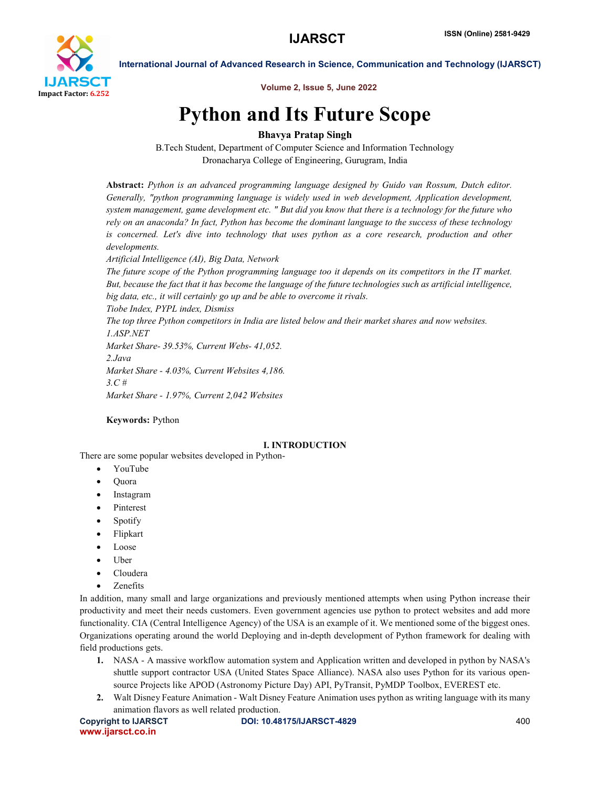

Volume 2, Issue 5, June 2022

# Python and Its Future Scope

# Bhavya Pratap Singh

B.Tech Student, Department of Computer Science and Information Technology Dronacharya College of Engineering, Gurugram, India

Abstract: *Python is an advanced programming language designed by Guido van Rossum, Dutch editor. Generally, "python programming language is widely used in web development, Application development, system management, game development etc. " But did you know that there is a technology for the future who rely on an anaconda? In fact, Python has become the dominant language to the success of these technology is concerned. Let's dive into technology that uses python as a core research, production and other developments.*

*Artificial Intelligence (AI), Big Data, Network*

*The future scope of the Python programming language too it depends on its competitors in the IT market. But, because the fact that it has become the language of the future technologies such as artificial intelligence, big data, etc., it will certainly go up and be able to overcome it rivals.*

*Tiobe Index, PYPL index, Dismiss*

*The top three Python competitors in India are listed below and their market shares and now websites. 1.ASP.NET*

*Market Share- 39.53%, Current Webs- 41,052. 2.Java Market Share - 4.03%, Current Websites 4,186. 3.C # Market Share - 1.97%, Current 2,042 Websites*

## Keywords: Python

### I. INTRODUCTION

There are some popular websites developed in Python-

- YouTube
- Quora
- Instagram
- Pinterest
- Spotify
- Flipkart
- Loose
- Uber
- Cloudera
- Zenefits

In addition, many small and large organizations and previously mentioned attempts when using Python increase their productivity and meet their needs customers. Even government agencies use python to protect websites and add more functionality. CIA (Central Intelligence Agency) of the USA is an example of it. We mentioned some of the biggest ones. Organizations operating around the world Deploying and in-depth development of Python framework for dealing with field productions gets.

- 1. NASA A massive workflow automation system and Application written and developed in python by NASA's shuttle support contractor USA (United States Space Alliance). NASA also uses Python for its various opensource Projects like APOD (Astronomy Picture Day) API, PyTransit, PyMDP Toolbox, EVEREST etc.
- 2. Walt Disney Feature Animation Walt Disney Feature Animation uses python as writing language with its many animation flavors as well related production.

www.ijarsct.co.in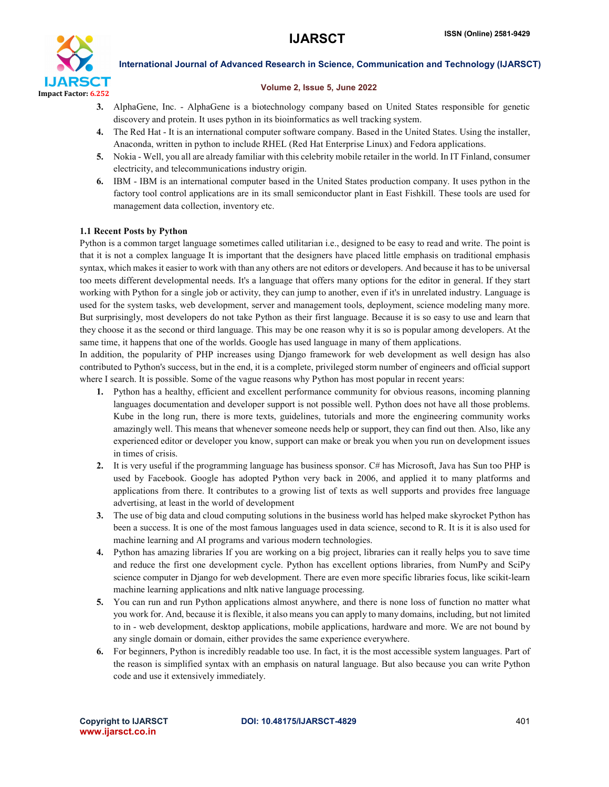

#### Volume 2, Issue 5, June 2022

- 3. AlphaGene, Inc. AlphaGene is a biotechnology company based on United States responsible for genetic discovery and protein. It uses python in its bioinformatics as well tracking system.
- 4. The Red Hat It is an international computer software company. Based in the United States. Using the installer, Anaconda, written in python to include RHEL (Red Hat Enterprise Linux) and Fedora applications.
- 5. Nokia Well, you all are already familiar with this celebrity mobile retailer in the world. In IT Finland, consumer electricity, and telecommunications industry origin.
- 6. IBM IBM is an international computer based in the United States production company. It uses python in the factory tool control applications are in its small semiconductor plant in East Fishkill. These tools are used for management data collection, inventory etc.

#### 1.1 Recent Posts by Python

Python is a common target language sometimes called utilitarian i.e., designed to be easy to read and write. The point is that it is not a complex language It is important that the designers have placed little emphasis on traditional emphasis syntax, which makes it easier to work with than any others are not editors or developers. And because it has to be universal too meets different developmental needs. It's a language that offers many options for the editor in general. If they start working with Python for a single job or activity, they can jump to another, even if it's in unrelated industry. Language is used for the system tasks, web development, server and management tools, deployment, science modeling many more. But surprisingly, most developers do not take Python as their first language. Because it is so easy to use and learn that they choose it as the second or third language. This may be one reason why it is so is popular among developers. At the same time, it happens that one of the worlds. Google has used language in many of them applications.

In addition, the popularity of PHP increases using Django framework for web development as well design has also contributed to Python's success, but in the end, it is a complete, privileged storm number of engineers and official support where I search. It is possible. Some of the vague reasons why Python has most popular in recent years:

- 1. Python has a healthy, efficient and excellent performance community for obvious reasons, incoming planning languages documentation and developer support is not possible well. Python does not have all those problems. Kube in the long run, there is more texts, guidelines, tutorials and more the engineering community works amazingly well. This means that whenever someone needs help or support, they can find out then. Also, like any experienced editor or developer you know, support can make or break you when you run on development issues in times of crisis.
- 2. It is very useful if the programming language has business sponsor. C# has Microsoft, Java has Sun too PHP is used by Facebook. Google has adopted Python very back in 2006, and applied it to many platforms and applications from there. It contributes to a growing list of texts as well supports and provides free language advertising, at least in the world of development
- 3. The use of big data and cloud computing solutions in the business world has helped make skyrocket Python has been a success. It is one of the most famous languages used in data science, second to R. It is it is also used for machine learning and AI programs and various modern technologies.
- 4. Python has amazing libraries If you are working on a big project, libraries can it really helps you to save time and reduce the first one development cycle. Python has excellent options libraries, from NumPy and SciPy science computer in Django for web development. There are even more specific libraries focus, like scikit-learn machine learning applications and nltk native language processing.
- 5. You can run and run Python applications almost anywhere, and there is none loss of function no matter what you work for. And, because it is flexible, it also means you can apply to many domains, including, but not limited to in - web development, desktop applications, mobile applications, hardware and more. We are not bound by any single domain or domain, either provides the same experience everywhere.
- 6. For beginners, Python is incredibly readable too use. In fact, it is the most accessible system languages. Part of the reason is simplified syntax with an emphasis on natural language. But also because you can write Python code and use it extensively immediately.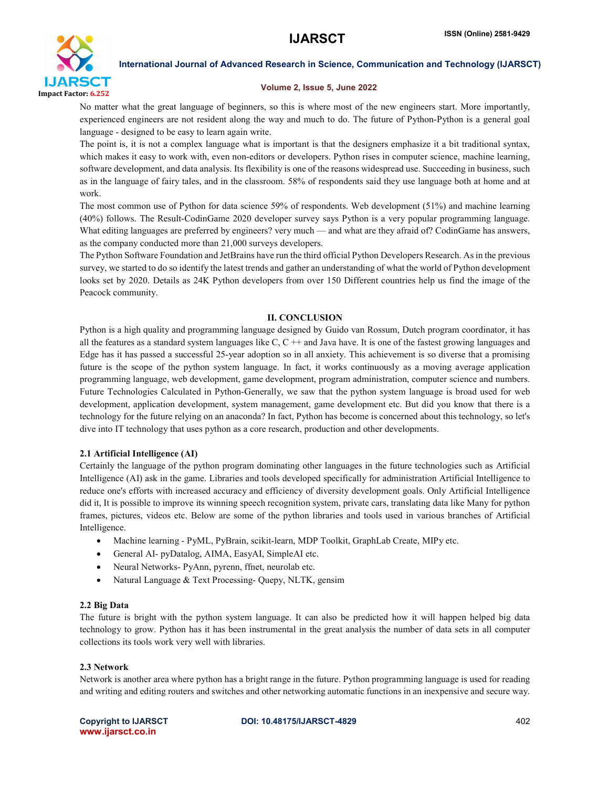

#### Volume 2, Issue 5, June 2022

No matter what the great language of beginners, so this is where most of the new engineers start. More importantly, experienced engineers are not resident along the way and much to do. The future of Python-Python is a general goal language - designed to be easy to learn again write.

The point is, it is not a complex language what is important is that the designers emphasize it a bit traditional syntax, which makes it easy to work with, even non-editors or developers. Python rises in computer science, machine learning, software development, and data analysis. Its flexibility is one of the reasons widespread use. Succeeding in business, such as in the language of fairy tales, and in the classroom. 58% of respondents said they use language both at home and at work.

The most common use of Python for data science 59% of respondents. Web development (51%) and machine learning (40%) follows. The Result-CodinGame 2020 developer survey says Python is a very popular programming language. What editing languages are preferred by engineers? very much — and what are they afraid of? CodinGame has answers, as the company conducted more than 21,000 surveys developers.

The Python Software Foundation and JetBrains have run the third official Python Developers Research. As in the previous survey, we started to do so identify the latest trends and gather an understanding of what the world of Python development looks set by 2020. Details as 24K Python developers from over 150 Different countries help us find the image of the Peacock community.

#### II. CONCLUSION

Python is a high quality and programming language designed by Guido van Rossum, Dutch program coordinator, it has all the features as a standard system languages like  $C, C++$  and Java have. It is one of the fastest growing languages and Edge has it has passed a successful 25-year adoption so in all anxiety. This achievement is so diverse that a promising future is the scope of the python system language. In fact, it works continuously as a moving average application programming language, web development, game development, program administration, computer science and numbers. Future Technologies Calculated in Python-Generally, we saw that the python system language is broad used for web development, application development, system management, game development etc. But did you know that there is a technology for the future relying on an anaconda? In fact, Python has become is concerned about this technology, so let's dive into IT technology that uses python as a core research, production and other developments.

#### 2.1 Artificial Intelligence (AI)

Certainly the language of the python program dominating other languages in the future technologies such as Artificial Intelligence (AI) ask in the game. Libraries and tools developed specifically for administration Artificial Intelligence to reduce one's efforts with increased accuracy and efficiency of diversity development goals. Only Artificial Intelligence did it, It is possible to improve its winning speech recognition system, private cars, translating data like Many for python frames, pictures, videos etc. Below are some of the python libraries and tools used in various branches of Artificial Intelligence.

- Machine learning PyML, PyBrain, scikit-learn, MDP Toolkit, GraphLab Create, MIPy etc.
- General AI- pyDatalog, AIMA, EasyAI, SimpleAI etc.
- Neural Networks- PyAnn, pyrenn, ffnet, neurolab etc.
- Natural Language & Text Processing- Quepy, NLTK, gensim

#### 2.2 Big Data

The future is bright with the python system language. It can also be predicted how it will happen helped big data technology to grow. Python has it has been instrumental in the great analysis the number of data sets in all computer collections its tools work very well with libraries.

#### 2.3 Network

Network is another area where python has a bright range in the future. Python programming language is used for reading and writing and editing routers and switches and other networking automatic functions in an inexpensive and secure way.